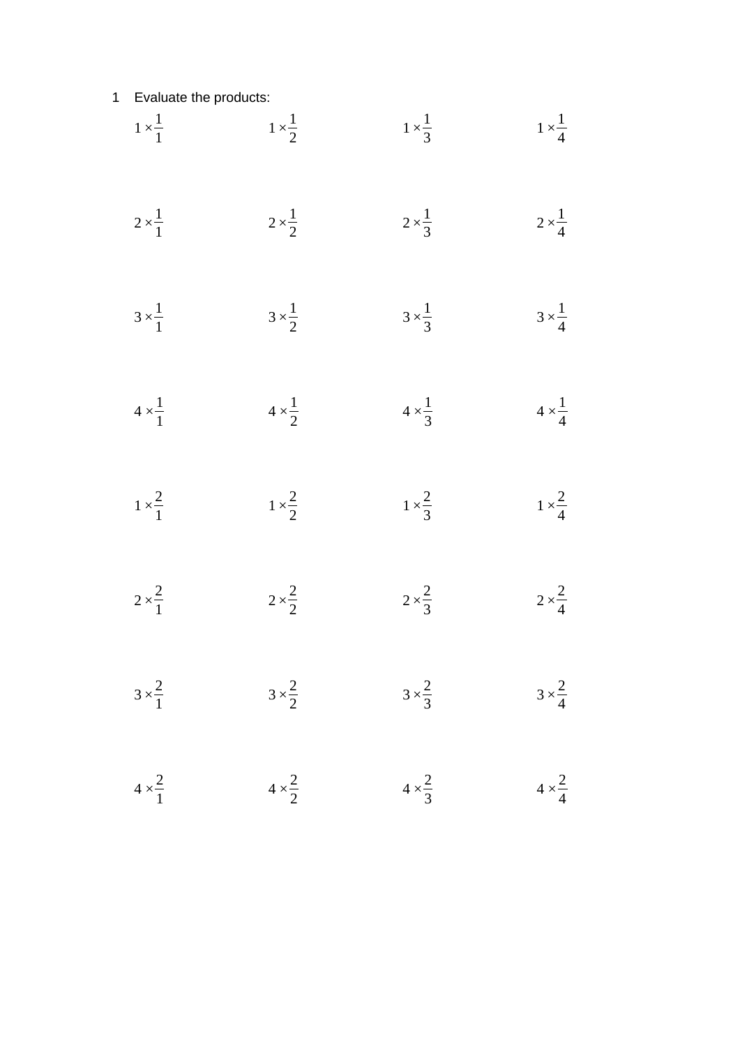## Evaluate the products:

| $1 \times \frac{1}{1}$ | $1 \times \frac{1}{2}$ | $1 \times \frac{1}{3}$ | $1 \times \frac{1}{4}$ |
|------------------------|------------------------|------------------------|------------------------|
| $2 \times \frac{1}{1}$ | $2 \times \frac{1}{2}$ | $2 \times \frac{1}{3}$ | $2 \times \frac{1}{4}$ |
| $3 \times \frac{1}{1}$ | $3 \times \frac{1}{2}$ | $3 \times \frac{1}{3}$ | $3 \times \frac{1}{4}$ |
| $4 \times \frac{1}{1}$ | $4 \times \frac{1}{2}$ | $4 \times \frac{1}{3}$ | $4 \times \frac{1}{4}$ |
| $1 \times \frac{2}{1}$ | $1 \times \frac{2}{2}$ | $1 \times \frac{2}{3}$ | $1 \times \frac{2}{4}$ |
| $2 \times \frac{2}{1}$ | $2 \times \frac{2}{2}$ | $2 \times \frac{2}{3}$ | $2 \times \frac{2}{4}$ |
| $3 \times \frac{2}{1}$ | $3 \times \frac{2}{2}$ | $3 \times \frac{2}{3}$ | $3 \times \frac{2}{4}$ |
| $4 \times \frac{2}{1}$ | $4 \times \frac{2}{2}$ | $4 \times \frac{2}{3}$ | $4 \times \frac{2}{4}$ |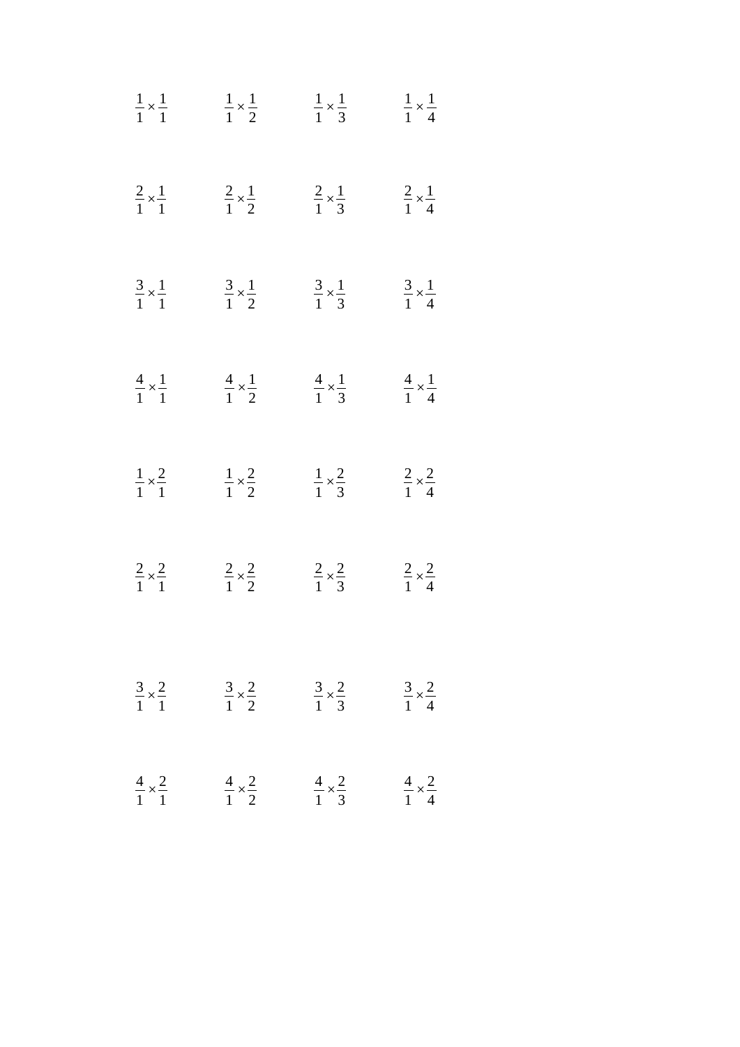| $rac{1}{1} \times \frac{1}{1}$   | $\frac{1}{1} \times \frac{1}{2}$ | $rac{1}{1} \times \frac{1}{3}$   | $rac{1}{1} \times \frac{1}{4}$ |
|----------------------------------|----------------------------------|----------------------------------|--------------------------------|
| $rac{2}{1} \times \frac{1}{1}$   | $rac{2}{1} \times \frac{1}{2}$   | $rac{2}{1} \times \frac{1}{3}$   | $rac{2}{1} \times \frac{1}{4}$ |
| $rac{3}{1} \times \frac{1}{1}$   | $\frac{3}{1} \times \frac{1}{2}$ | $\frac{3}{1} \times \frac{1}{3}$ | $rac{3}{1} \times \frac{1}{4}$ |
| $rac{4}{1} \times \frac{1}{1}$   | $rac{4}{1} \times \frac{1}{2}$   | $rac{4}{1} \times \frac{1}{3}$   | $rac{4}{1} \times \frac{1}{4}$ |
| $rac{1}{1} \times \frac{2}{1}$   | $rac{1}{1} \times \frac{2}{2}$   | $rac{1}{1} \times \frac{2}{3}$   | $rac{2}{1} \times \frac{2}{4}$ |
| $rac{2}{1} \times \frac{2}{1}$   | $rac{2}{1} \times \frac{2}{2}$   | $rac{2}{1} \times \frac{2}{3}$   | $rac{2}{1} \times \frac{2}{4}$ |
| $\frac{3}{1} \times \frac{2}{1}$ | $\frac{3}{1} \times \frac{2}{2}$ | $\frac{3}{1} \times \frac{2}{3}$ | $rac{3}{1} \times \frac{2}{4}$ |
| $rac{4}{1} \times \frac{2}{1}$   | $rac{4}{1} \times \frac{2}{2}$   | $rac{4}{1} \times \frac{2}{3}$   | $rac{4}{1} \times \frac{2}{4}$ |